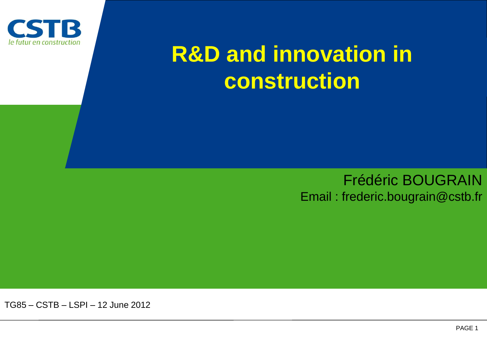

# **R&D and innovation in construction**

#### Frédéric BOUGRAIN Email : frederic.bougrain@cstb.fr

TG85 – CSTB – LSPI *–* 12 June 2012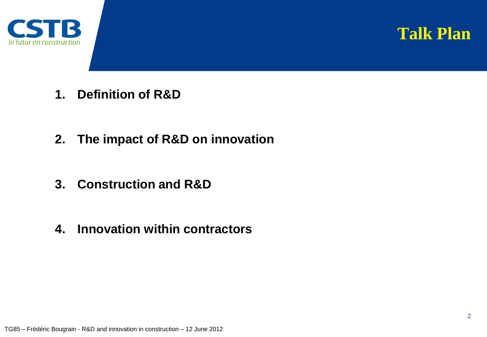



- **1. Definition of R&D**
- **2. The impact of R&D on innovation**
- **3. Construction and R&D**
- **4. Innovation within contractors**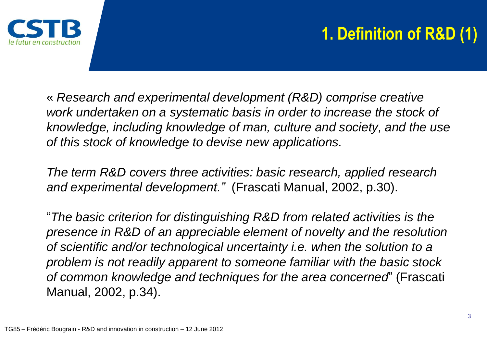

## **1. Definition of R&D (1)**

« *Research and experimental development (R&D) comprise creative work undertaken on a systematic basis in order to increase the stock of knowledge, including knowledge of man, culture and society, and the use of this stock of knowledge to devise new applications.*

*The term R&D covers three activities: basic research, applied research and experimental development."* (Frascati Manual, 2002, p.30).

"*The basic criterion for distinguishing R&D from related activities is the presence in R&D of an appreciable element of novelty and the resolution of scientific and/or technological uncertainty i.e. when the solution to a problem is not readily apparent to someone familiar with the basic stock of common knowledge and techniques for the area concerned*" (Frascati Manual, 2002, p.34).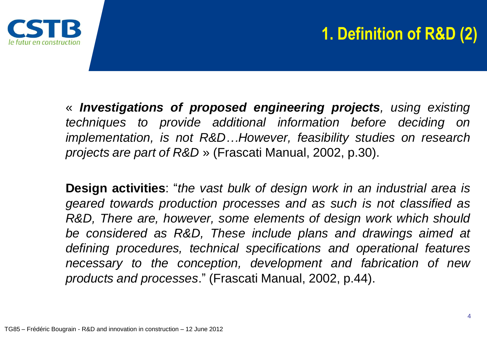

### **1. Definition of R&D (2)**

« *Investigations of proposed engineering projects, using existing techniques to provide additional information before deciding on implementation, is not R&D…However, feasibility studies on research projects are part of R&D* » (Frascati Manual, 2002, p.30).

**Design activities**: "*the vast bulk of design work in an industrial area is geared towards production processes and as such is not classified as R&D, There are, however, some elements of design work which should be considered as R&D, These include plans and drawings aimed at defining procedures, technical specifications and operational features necessary to the conception, development and fabrication of new products and processes*." (Frascati Manual, 2002, p.44).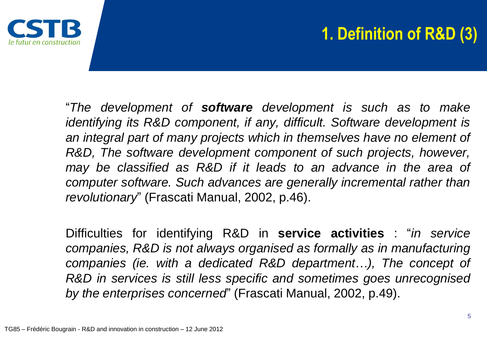

### **1. Definition of R&D (3)**

"*The development of software development is such as to make identifying its R&D component, if any, difficult. Software development is an integral part of many projects which in themselves have no element of R&D, The software development component of such projects, however, may be classified as R&D if it leads to an advance in the area of computer software. Such advances are generally incremental rather than revolutionary*" (Frascati Manual, 2002, p.46).

Difficulties for identifying R&D in **service activities** : "*in service companies, R&D is not always organised as formally as in manufacturing companies (ie. with a dedicated R&D department…), The concept of R&D in services is still less specific and sometimes goes unrecognised by the enterprises concerned*" (Frascati Manual, 2002, p.49).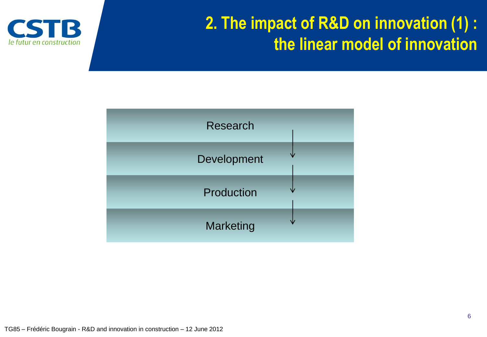

#### **2. The impact of R&D on innovation (1) : the linear model of innovation**

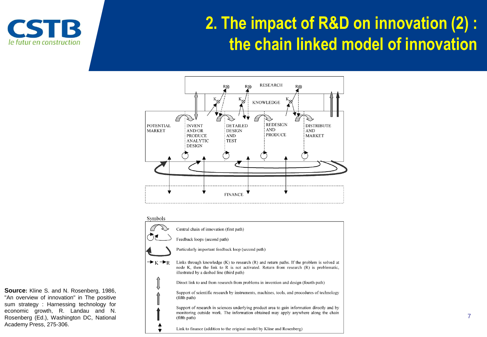

#### **2. The impact of R&D on innovation (2) : the chain linked model of innovation**





**Source:** Kline S. and N. Rosenberg, 1986, "An overview of innovation" in The positive sum strategy : Harnessing technology for economic growth, R. Landau and N. Rosenberg (Ed.), Washington DC, National Academy Press, 275-306.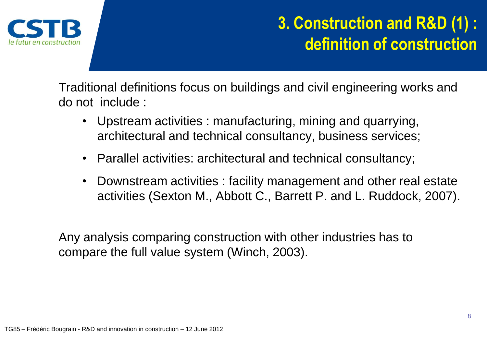

#### **3. Construction and R&D (1) : definition of construction**

Traditional definitions focus on buildings and civil engineering works and do not include :

- Upstream activities : manufacturing, mining and quarrying, architectural and technical consultancy, business services;
- Parallel activities: architectural and technical consultancy;
- Downstream activities : facility management and other real estate activities (Sexton M., Abbott C., Barrett P. and L. Ruddock, 2007).

Any analysis comparing construction with other industries has to compare the full value system (Winch, 2003).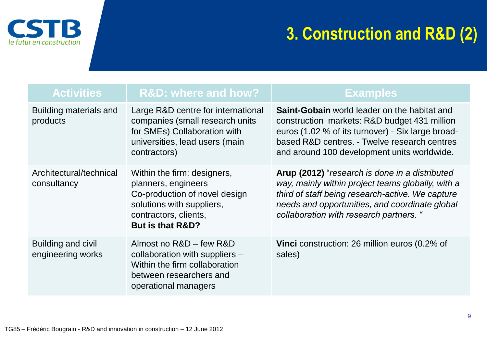

#### **3. Construction and R&D (2)**

| <b>Activities</b>                       | <b>R&amp;D: where and how?</b>                                                                                                                                           | <b>Examples</b>                                                                                                                                                                                                                                         |
|-----------------------------------------|--------------------------------------------------------------------------------------------------------------------------------------------------------------------------|---------------------------------------------------------------------------------------------------------------------------------------------------------------------------------------------------------------------------------------------------------|
| Building materials and<br>products      | Large R&D centre for international<br>companies (small research units<br>for SMEs) Collaboration with<br>universities, lead users (main<br>contractors)                  | <b>Saint-Gobain</b> world leader on the habitat and<br>construction markets: R&D budget 431 million<br>euros (1.02 % of its turnover) - Six large broad-<br>based R&D centres. - Twelve research centres<br>and around 100 development units worldwide. |
| Architectural/technical<br>consultancy  | Within the firm: designers,<br>planners, engineers<br>Co-production of novel design<br>solutions with suppliers,<br>contractors, clients,<br><b>But is that R&amp;D?</b> | Arup (2012) "research is done in a distributed<br>way, mainly within project teams globally, with a<br>third of staff being research-active. We capture<br>needs and opportunities, and coordinate global<br>collaboration with research partners. "    |
| Building and civil<br>engineering works | Almost no R&D - few R&D<br>collaboration with suppliers -<br>Within the firm collaboration<br>between researchers and<br>operational managers                            | <b>Vinci</b> construction: 26 million euros (0.2% of<br>sales)                                                                                                                                                                                          |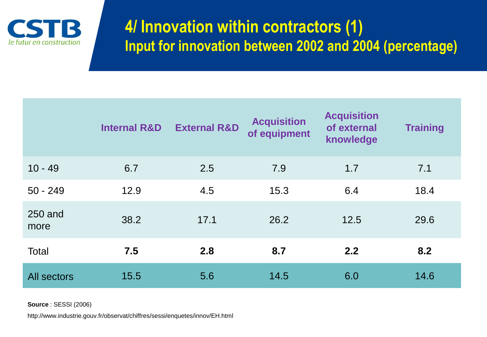

#### **4/ Innovation within contractors (1) Input for innovation between 2002 and 2004 (percentage)**

|                    | <b>Internal R&amp;D</b> | <b>External R&amp;D</b> | <b>Acquisition</b><br>of equipment | <b>Acquisition</b><br>of external<br>knowledge | <b>Training</b> |
|--------------------|-------------------------|-------------------------|------------------------------------|------------------------------------------------|-----------------|
| $10 - 49$          | 6.7                     | 2.5                     | 7.9                                | 1.7                                            | 7.1             |
| $50 - 249$         | 12.9                    | 4.5                     | 15.3                               | 6.4                                            | 18.4            |
| 250 and<br>more    | 38.2                    | 17.1                    | 26.2                               | 12.5                                           | 29.6            |
| Total              | 7.5                     | 2.8                     | 8.7                                | 2.2                                            | 8.2             |
| <b>All sectors</b> | 15.5                    | 5.6                     | 14.5                               | 6.0                                            | 14.6            |

**Source** : SESSI (2006)

http://www.industrie.gouv.fr/observat/chiffres/sessi/enquetes/innov/EH.html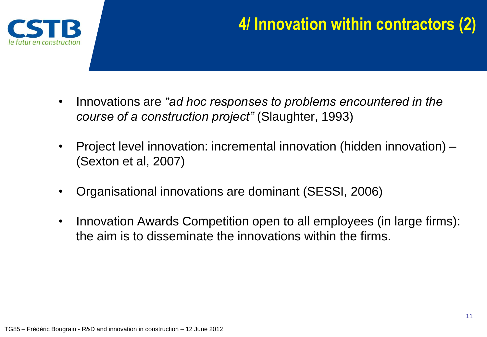

#### **4/ Innovation within contractors (2)**

- Innovations are *"ad hoc responses to problems encountered in the course of a construction project"* (Slaughter, 1993)
- Project level innovation: incremental innovation (hidden innovation) (Sexton et al, 2007)
- Organisational innovations are dominant (SESSI, 2006)
- Innovation Awards Competition open to all employees (in large firms): the aim is to disseminate the innovations within the firms.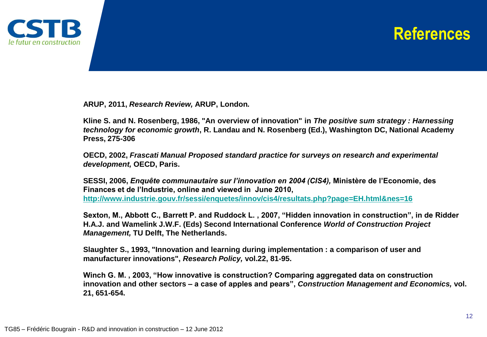

#### **References**

**ARUP, 2011,** *Research Review,* **ARUP, London***.*

**Kline S. and N. Rosenberg, 1986, "An overview of innovation" in** *The positive sum strategy : Harnessing technology for economic growth***, R. Landau and N. Rosenberg (Ed.), Washington DC, National Academy Press, 275-306**

**OECD, 2002,** *Frascati Manual Proposed standard practice for surveys on research and experimental development,* **OECD, Paris.**

**SESSI, 2006,** *Enquête communautaire sur l'innovation en 2004 (CIS4),* **Ministère de l'Economie, des Finances et de l'Industrie, online and viewed in June 2010, <http://www.industrie.gouv.fr/sessi/enquetes/innov/cis4/resultats.php?page=EH.html&nes=16>**

**Sexton, M., Abbott C., Barrett P. and Ruddock L. , 2007, "Hidden innovation in construction", in de Ridder H.A.J. and Wamelink J.W.F. (Eds) Second International Conference** *World of Construction Project Management,* **TU Delft, The Netherlands.**

**Slaughter S., 1993, "Innovation and learning during implementation : a comparison of user and manufacturer innovations",** *Research Policy,* **vol.22, 81-95.**

**Winch G. M. , 2003, "How innovative is construction? Comparing aggregated data on construction innovation and other sectors – a case of apples and pears",** *Construction Management and Economics,* **vol. 21, 651-654.**